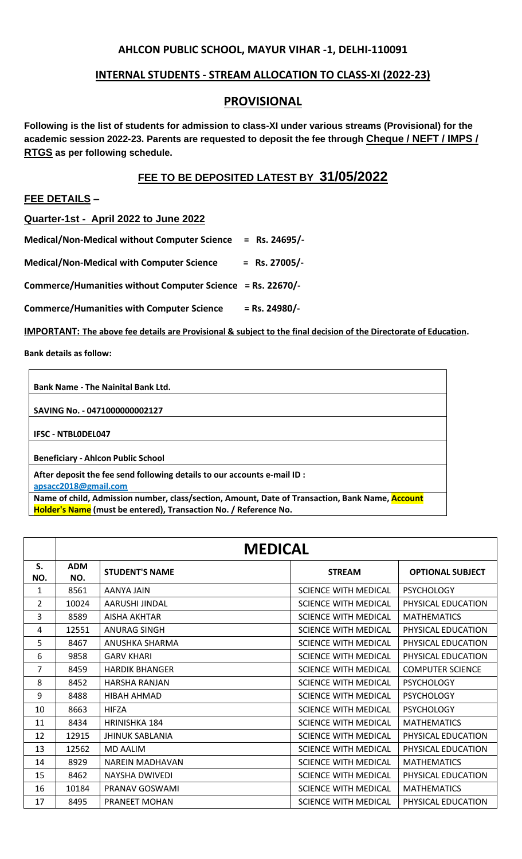## **AHLCON PUBLIC SCHOOL, MAYUR VIHAR -1, DELHI-110091**

## **INTERNAL STUDENTS - STREAM ALLOCATION TO CLASS-XI (2022-23)**

## **PROVISIONAL**

**Following is the list of students for admission to class-XI under various streams (Provisional) for the academic session 2022-23. Parents are requested to deposit the fee through Cheque / NEFT / IMPS / RTGS as per following schedule.**

## **FEE TO BE DEPOSITED LATEST BY 31/05/2022**

**FEE DETAILS –** 

**Quarter-1st - April 2022 to June 2022**

**Medical/Non-Medical without Computer Science = Rs. 24695/-**

**Medical/Non-Medical with Computer Science = Rs. 27005/-**

**Commerce/Humanities without Computer Science = Rs. 22670/-**

**Commerce/Humanities with Computer Science = Rs. 24980/-**

**IMPORTANT: The above fee details are Provisional & subject to the final decision of the Directorate of Education.**

**Bank details as follow:**

**Bank Name - The Nainital Bank Ltd.**

**SAVING No. - 0471000000002127**

**IFSC - NTBL0DEL047**

**Beneficiary - Ahlcon Public School**

**After deposit the fee send following details to our accounts e-mail ID :**

**[apsacc2018@gmail.com](mailto:apsacc2018@gmail.com)**

**Name of child, Admission number, class/section, Amount, Date of Transaction, Bank Name, Account Holder's Name (must be entered), Transaction No. / Reference No.**

|                | <b>MEDICAL</b>    |                        |                             |                         |
|----------------|-------------------|------------------------|-----------------------------|-------------------------|
| S.<br>NO.      | <b>ADM</b><br>NO. | <b>STUDENT'S NAME</b>  | <b>STREAM</b>               | <b>OPTIONAL SUBJECT</b> |
| 1              | 8561              | AANYA JAIN             | <b>SCIENCE WITH MEDICAL</b> | <b>PSYCHOLOGY</b>       |
| $\overline{2}$ | 10024             | AARUSHI JINDAL         | <b>SCIENCE WITH MEDICAL</b> | PHYSICAL EDUCATION      |
| 3              | 8589              | <b>AISHA AKHTAR</b>    | <b>SCIENCE WITH MEDICAL</b> | <b>MATHEMATICS</b>      |
| 4              | 12551             | ANURAG SINGH           | SCIENCE WITH MEDICAL        | PHYSICAL EDUCATION      |
| 5.             | 8467              | ANUSHKA SHARMA         | <b>SCIENCE WITH MEDICAL</b> | PHYSICAL EDUCATION      |
| 6              | 9858              | <b>GARV KHARI</b>      | <b>SCIENCE WITH MEDICAL</b> | PHYSICAL EDUCATION      |
| 7              | 8459              | <b>HARDIK BHANGER</b>  | <b>SCIENCE WITH MEDICAL</b> | <b>COMPUTER SCIENCE</b> |
| 8              | 8452              | <b>HARSHA RANJAN</b>   | <b>SCIENCE WITH MEDICAL</b> | <b>PSYCHOLOGY</b>       |
| 9              | 8488              | HIBAH AHMAD            | <b>SCIENCE WITH MEDICAL</b> | <b>PSYCHOLOGY</b>       |
| 10             | 8663              | <b>HIFZA</b>           | <b>SCIENCE WITH MEDICAL</b> | <b>PSYCHOLOGY</b>       |
| 11             | 8434              | <b>HRINISHKA 184</b>   | <b>SCIENCE WITH MEDICAL</b> | <b>MATHEMATICS</b>      |
| 12             | 12915             | <b>JHINUK SABLANIA</b> | <b>SCIENCE WITH MEDICAL</b> | PHYSICAL EDUCATION      |
| 13             | 12562             | <b>MD AALIM</b>        | <b>SCIENCE WITH MEDICAL</b> | PHYSICAL EDUCATION      |
| 14             | 8929              | <b>NAREIN MADHAVAN</b> | <b>SCIENCE WITH MEDICAL</b> | <b>MATHEMATICS</b>      |
| 15             | 8462              | <b>NAYSHA DWIVEDI</b>  | <b>SCIENCE WITH MEDICAL</b> | PHYSICAL EDUCATION      |
| 16             | 10184             | PRANAV GOSWAMI         | <b>SCIENCE WITH MEDICAL</b> | <b>MATHEMATICS</b>      |
| 17             | 8495              | <b>PRANEET MOHAN</b>   | <b>SCIENCE WITH MEDICAL</b> | PHYSICAL EDUCATION      |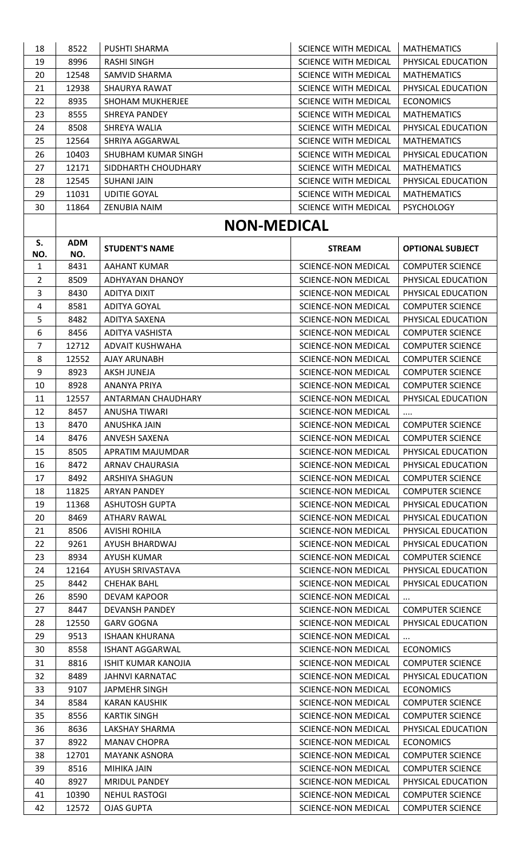| 18             | 8522          | <b>PUSHTI SHARMA</b>                         | <b>SCIENCE WITH MEDICAL</b>                              | <b>MATHEMATICS</b>                            |
|----------------|---------------|----------------------------------------------|----------------------------------------------------------|-----------------------------------------------|
| 19             | 8996          | <b>RASHI SINGH</b>                           | <b>SCIENCE WITH MEDICAL</b>                              | PHYSICAL EDUCATION                            |
| 20             | 12548         | SAMVID SHARMA                                | <b>SCIENCE WITH MEDICAL</b>                              | <b>MATHEMATICS</b>                            |
| 21             | 12938         | SHAURYA RAWAT                                | <b>SCIENCE WITH MEDICAL</b>                              | PHYSICAL EDUCATION                            |
| 22             | 8935          | SHOHAM MUKHERJEE                             | <b>SCIENCE WITH MEDICAL</b>                              | <b>ECONOMICS</b>                              |
| 23             | 8555          | <b>SHREYA PANDEY</b>                         | <b>SCIENCE WITH MEDICAL</b>                              | <b>MATHEMATICS</b>                            |
| 24             | 8508          | SHREYA WALIA                                 | <b>SCIENCE WITH MEDICAL</b>                              | PHYSICAL EDUCATION                            |
| 25             | 12564         | SHRIYA AGGARWAL                              | <b>SCIENCE WITH MEDICAL</b>                              | <b>MATHEMATICS</b>                            |
| 26             | 10403         | SHUBHAM KUMAR SINGH                          | <b>SCIENCE WITH MEDICAL</b>                              | PHYSICAL EDUCATION                            |
| 27             | 12171         | SIDDHARTH CHOUDHARY                          | <b>SCIENCE WITH MEDICAL</b>                              | <b>MATHEMATICS</b>                            |
| 28             | 12545         | <b>SUHANI JAIN</b>                           | <b>SCIENCE WITH MEDICAL</b>                              | PHYSICAL EDUCATION                            |
| 29             | 11031         | <b>UDITIE GOYAL</b>                          | <b>SCIENCE WITH MEDICAL</b>                              | <b>MATHEMATICS</b>                            |
|                |               |                                              |                                                          |                                               |
| 30             | 11864         | ZENUBIA NAIM                                 | <b>SCIENCE WITH MEDICAL</b>                              | <b>PSYCHOLOGY</b>                             |
|                |               | <b>NON-MEDICAL</b>                           |                                                          |                                               |
| S.             | <b>ADM</b>    |                                              |                                                          |                                               |
| NO.            | NO.           | <b>STUDENT'S NAME</b>                        | <b>STREAM</b>                                            | <b>OPTIONAL SUBJECT</b>                       |
| $\mathbf{1}$   | 8431          | <b>AAHANT KUMAR</b>                          | <b>SCIENCE-NON MEDICAL</b>                               | <b>COMPUTER SCIENCE</b>                       |
| $\overline{2}$ | 8509          | ADHYAYAN DHANOY                              | <b>SCIENCE-NON MEDICAL</b>                               | PHYSICAL EDUCATION                            |
| 3              | 8430          | ADITYA DIXIT                                 | <b>SCIENCE-NON MEDICAL</b>                               | PHYSICAL EDUCATION                            |
| 4              | 8581          | <b>ADITYA GOYAL</b>                          | <b>SCIENCE-NON MEDICAL</b>                               | <b>COMPUTER SCIENCE</b>                       |
| 5              | 8482          | ADITYA SAXENA                                | <b>SCIENCE-NON MEDICAL</b>                               | PHYSICAL EDUCATION                            |
| 6              | 8456          | ADITYA VASHISTA                              | <b>SCIENCE-NON MEDICAL</b>                               | <b>COMPUTER SCIENCE</b>                       |
| $\overline{7}$ | 12712         | ADVAIT KUSHWAHA                              | <b>SCIENCE-NON MEDICAL</b>                               | <b>COMPUTER SCIENCE</b>                       |
| 8              | 12552         | AJAY ARUNABH                                 | <b>SCIENCE-NON MEDICAL</b>                               | <b>COMPUTER SCIENCE</b>                       |
| 9              | 8923          | AKSH JUNEJA                                  | <b>SCIENCE-NON MEDICAL</b>                               | <b>COMPUTER SCIENCE</b>                       |
| 10             | 8928          | ANANYA PRIYA                                 | <b>SCIENCE-NON MEDICAL</b>                               | <b>COMPUTER SCIENCE</b>                       |
| 11             | 12557         | ANTARMAN CHAUDHARY                           | <b>SCIENCE-NON MEDICAL</b>                               | PHYSICAL EDUCATION                            |
| 12             | 8457          | <b>ANUSHA TIWARI</b>                         | <b>SCIENCE-NON MEDICAL</b>                               |                                               |
| 13             | 8470          | ANUSHKA JAIN                                 | <b>SCIENCE-NON MEDICAL</b>                               | $\cdots$<br><b>COMPUTER SCIENCE</b>           |
| 14             | 8476          | ANVESH SAXENA                                | <b>SCIENCE-NON MEDICAL</b>                               | <b>COMPUTER SCIENCE</b>                       |
| 15             | 8505          | APRATIM MAJUMDAR                             | <b>SCIENCE-NON MEDICAL</b>                               | PHYSICAL EDUCATION                            |
| 16             | 8472          | <b>ARNAV CHAURASIA</b>                       | <b>SCIENCE-NON MEDICAL</b>                               | PHYSICAL EDUCATION                            |
|                |               |                                              |                                                          |                                               |
| 17             | 8492          | ARSHIYA SHAGUN                               | <b>SCIENCE-NON MEDICAL</b>                               | <b>COMPUTER SCIENCE</b>                       |
| 18             | 11825         | <b>ARYAN PANDEY</b>                          | <b>SCIENCE-NON MEDICAL</b>                               | <b>COMPUTER SCIENCE</b>                       |
| 19             | 11368         | <b>ASHUTOSH GUPTA</b>                        | <b>SCIENCE-NON MEDICAL</b>                               | PHYSICAL EDUCATION                            |
| 20             | 8469          | <b>ATHARV RAWAL</b>                          | <b>SCIENCE-NON MEDICAL</b>                               | PHYSICAL EDUCATION                            |
| 21             | 8506          | <b>AVISHI ROHILA</b>                         | <b>SCIENCE-NON MEDICAL</b>                               | PHYSICAL EDUCATION                            |
| 22             | 9261          | AYUSH BHARDWAJ                               | <b>SCIENCE-NON MEDICAL</b>                               | PHYSICAL EDUCATION                            |
| 23             | 8934          | <b>AYUSH KUMAR</b>                           | <b>SCIENCE-NON MEDICAL</b>                               | <b>COMPUTER SCIENCE</b>                       |
| 24             | 12164         | AYUSH SRIVASTAVA                             | <b>SCIENCE-NON MEDICAL</b>                               | PHYSICAL EDUCATION                            |
| 25             | 8442          | <b>CHEHAK BAHL</b>                           | <b>SCIENCE-NON MEDICAL</b>                               | PHYSICAL EDUCATION                            |
| 26             | 8590          | <b>DEVAM KAPOOR</b>                          | <b>SCIENCE-NON MEDICAL</b>                               | $\cdots$                                      |
| 27             | 8447          | <b>DEVANSH PANDEY</b>                        | <b>SCIENCE-NON MEDICAL</b>                               | <b>COMPUTER SCIENCE</b>                       |
| 28             | 12550         | <b>GARV GOGNA</b>                            | <b>SCIENCE-NON MEDICAL</b>                               | PHYSICAL EDUCATION                            |
| 29             | 9513          | <b>ISHAAN KHURANA</b>                        | <b>SCIENCE-NON MEDICAL</b>                               | $\cdots$                                      |
| 30             | 8558          | <b>ISHANT AGGARWAL</b>                       | <b>SCIENCE-NON MEDICAL</b>                               | <b>ECONOMICS</b>                              |
| 31             | 8816          | <b>ISHIT KUMAR KANOJIA</b>                   | <b>SCIENCE-NON MEDICAL</b>                               | <b>COMPUTER SCIENCE</b>                       |
| 32             | 8489          | <b>JAHNVI KARNATAC</b>                       | <b>SCIENCE-NON MEDICAL</b>                               | PHYSICAL EDUCATION                            |
| 33             | 9107          | <b>JAPMEHR SINGH</b>                         | <b>SCIENCE-NON MEDICAL</b>                               | <b>ECONOMICS</b>                              |
| 34             | 8584          | <b>KARAN KAUSHIK</b>                         | <b>SCIENCE-NON MEDICAL</b>                               | <b>COMPUTER SCIENCE</b>                       |
| 35             | 8556          | <b>KARTIK SINGH</b>                          | <b>SCIENCE-NON MEDICAL</b>                               | <b>COMPUTER SCIENCE</b>                       |
| 36             | 8636          | LAKSHAY SHARMA                               | <b>SCIENCE-NON MEDICAL</b>                               | PHYSICAL EDUCATION                            |
| 37             | 8922          | <b>MANAV CHOPRA</b>                          | <b>SCIENCE-NON MEDICAL</b>                               | <b>ECONOMICS</b>                              |
|                |               |                                              |                                                          |                                               |
| 38             | 12701         | <b>MAYANK ASNORA</b>                         | <b>SCIENCE-NON MEDICAL</b>                               | <b>COMPUTER SCIENCE</b>                       |
|                | 8516          | <b>MIHIKA JAIN</b>                           | <b>SCIENCE-NON MEDICAL</b>                               | <b>COMPUTER SCIENCE</b>                       |
| 39             |               |                                              |                                                          |                                               |
| 40<br>41       | 8927<br>10390 | <b>MRIDUL PANDEY</b><br><b>NEHUL RASTOGI</b> | <b>SCIENCE-NON MEDICAL</b><br><b>SCIENCE-NON MEDICAL</b> | PHYSICAL EDUCATION<br><b>COMPUTER SCIENCE</b> |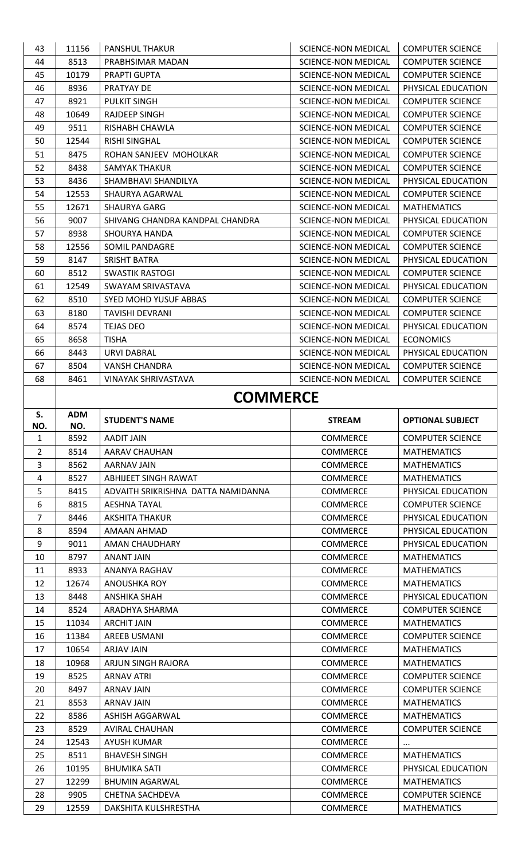| 43             | 11156        | <b>PANSHUL THAKUR</b>              | SCIENCE-NON MEDICAL                        | <b>COMPUTER SCIENCE</b> |
|----------------|--------------|------------------------------------|--------------------------------------------|-------------------------|
| 44             | 8513         | PRABHSIMAR MADAN                   | SCIENCE-NON MEDICAL                        | <b>COMPUTER SCIENCE</b> |
| 45             | 10179        | <b>PRAPTI GUPTA</b>                | <b>SCIENCE-NON MEDICAL</b>                 | <b>COMPUTER SCIENCE</b> |
| 46             | 8936         | PRATYAY DE                         | SCIENCE-NON MEDICAL                        | PHYSICAL EDUCATION      |
| 47             | 8921         | <b>PULKIT SINGH</b>                | SCIENCE-NON MEDICAL                        | <b>COMPUTER SCIENCE</b> |
| 48             | 10649        | RAJDEEP SINGH                      | SCIENCE-NON MEDICAL                        | <b>COMPUTER SCIENCE</b> |
| 49             | 9511         | RISHABH CHAWLA                     | SCIENCE-NON MEDICAL                        | <b>COMPUTER SCIENCE</b> |
| 50             | 12544        | <b>RISHI SINGHAL</b>               | <b>SCIENCE-NON MEDICAL</b>                 | <b>COMPUTER SCIENCE</b> |
| 51             | 8475         | ROHAN SANJEEV MOHOLKAR             | SCIENCE-NON MEDICAL                        | <b>COMPUTER SCIENCE</b> |
| 52             | 8438         | SAMYAK THAKUR                      | SCIENCE-NON MEDICAL                        | <b>COMPUTER SCIENCE</b> |
| 53             | 8436         | SHAMBHAVI SHANDILYA                | SCIENCE-NON MEDICAL                        | PHYSICAL EDUCATION      |
| 54             | 12553        | SHAURYA AGARWAL                    | SCIENCE-NON MEDICAL                        | <b>COMPUTER SCIENCE</b> |
| 55             | 12671        | SHAURYA GARG                       | SCIENCE-NON MEDICAL                        | <b>MATHEMATICS</b>      |
| 56             | 9007         | SHIVANG CHANDRA KANDPAL CHANDRA    | SCIENCE-NON MEDICAL                        | PHYSICAL EDUCATION      |
| 57             | 8938         | SHOURYA HANDA                      | SCIENCE-NON MEDICAL                        | <b>COMPUTER SCIENCE</b> |
| 58             | 12556        | SOMIL PANDAGRE                     | SCIENCE-NON MEDICAL                        | <b>COMPUTER SCIENCE</b> |
| 59             | 8147         | SRISHT BATRA                       | SCIENCE-NON MEDICAL                        | PHYSICAL EDUCATION      |
| 60             | 8512         | SWASTIK RASTOGI                    | SCIENCE-NON MEDICAL                        | <b>COMPUTER SCIENCE</b> |
| 61             | 12549        | SWAYAM SRIVASTAVA                  | SCIENCE-NON MEDICAL                        | PHYSICAL EDUCATION      |
| 62             | 8510         | <b>SYED MOHD YUSUF ABBAS</b>       | SCIENCE-NON MEDICAL                        | <b>COMPUTER SCIENCE</b> |
| 63             | 8180         | <b>TAVISHI DEVRANI</b>             | SCIENCE-NON MEDICAL                        | <b>COMPUTER SCIENCE</b> |
|                |              | <b>TEJAS DEO</b>                   |                                            | PHYSICAL EDUCATION      |
| 64<br>65       | 8574<br>8658 | <b>TISHA</b>                       | SCIENCE-NON MEDICAL<br>SCIENCE-NON MEDICAL | <b>ECONOMICS</b>        |
| 66             | 8443         | <b>URVI DABRAL</b>                 | SCIENCE-NON MEDICAL                        | PHYSICAL EDUCATION      |
| 67             | 8504         | VANSH CHANDRA                      | SCIENCE-NON MEDICAL                        | <b>COMPUTER SCIENCE</b> |
| 68             | 8461         | <b>VINAYAK SHRIVASTAVA</b>         | <b>SCIENCE-NON MEDICAL</b>                 | <b>COMPUTER SCIENCE</b> |
|                |              |                                    |                                            |                         |
|                |              | <b>COMMERCE</b>                    |                                            |                         |
| S.             | <b>ADM</b>   | <b>STUDENT'S NAME</b>              | <b>STREAM</b>                              | <b>OPTIONAL SUBJECT</b> |
| NO.            | NO.          |                                    |                                            |                         |
|                |              |                                    |                                            |                         |
| 1              | 8592         | <b>AADIT JAIN</b>                  | <b>COMMERCE</b>                            | <b>COMPUTER SCIENCE</b> |
| $\overline{2}$ | 8514         | AARAV CHAUHAN                      | <b>COMMERCE</b>                            | <b>MATHEMATICS</b>      |
| 3              | 8562         | <b>AARNAV JAIN</b>                 | <b>COMMERCE</b>                            | <b>MATHEMATICS</b>      |
| 4              | 8527         | ABHIJEET SINGH RAWAT               | <b>COMMERCE</b>                            | <b>MATHEMATICS</b>      |
| 5              | 8415         | ADVAITH SRIKRISHNA DATTA NAMIDANNA | <b>COMMERCE</b>                            | PHYSICAL EDUCATION      |
| 6              | 8815         | <b>AESHNA TAYAL</b>                | <b>COMMERCE</b>                            | <b>COMPUTER SCIENCE</b> |
| $\overline{7}$ | 8446         | <b>AKSHITA THAKUR</b>              | COMMERCE                                   | PHYSICAL EDUCATION      |
| 8              | 8594         | AMAAN AHMAD                        | <b>COMMERCE</b>                            | PHYSICAL EDUCATION      |
| 9              | 9011         | AMAN CHAUDHARY                     | <b>COMMERCE</b>                            | PHYSICAL EDUCATION      |
| 10             | 8797         | <b>ANANT JAIN</b>                  | <b>COMMERCE</b>                            | <b>MATHEMATICS</b>      |
| 11             | 8933         | ANANYA RAGHAV                      | <b>COMMERCE</b>                            | <b>MATHEMATICS</b>      |
| 12             | 12674        | <b>ANOUSHKA ROY</b>                | <b>COMMERCE</b>                            | <b>MATHEMATICS</b>      |
| 13             | 8448         | <b>ANSHIKA SHAH</b>                | <b>COMMERCE</b>                            | PHYSICAL EDUCATION      |
| 14             | 8524         | ARADHYA SHARMA                     | <b>COMMERCE</b>                            | <b>COMPUTER SCIENCE</b> |
| 15             | 11034        | <b>ARCHIT JAIN</b>                 | <b>COMMERCE</b>                            | <b>MATHEMATICS</b>      |
| 16             | 11384        | <b>AREEB USMANI</b>                | <b>COMMERCE</b>                            | <b>COMPUTER SCIENCE</b> |
| 17             | 10654        | <b>ARJAV JAIN</b>                  | COMMERCE                                   | <b>MATHEMATICS</b>      |
| 18             | 10968        | ARJUN SINGH RAJORA                 | <b>COMMERCE</b>                            | <b>MATHEMATICS</b>      |
| 19             | 8525         | <b>ARNAV ATRI</b>                  | COMMERCE                                   | <b>COMPUTER SCIENCE</b> |
| 20             | 8497         | <b>ARNAV JAIN</b>                  | <b>COMMERCE</b>                            | <b>COMPUTER SCIENCE</b> |
| 21             | 8553         | <b>ARNAV JAIN</b>                  | <b>COMMERCE</b>                            | <b>MATHEMATICS</b>      |
| 22             | 8586         | ASHISH AGGARWAL                    | COMMERCE                                   | <b>MATHEMATICS</b>      |
| 23             | 8529         | <b>AVIRAL CHAUHAN</b>              | COMMERCE                                   | <b>COMPUTER SCIENCE</b> |
| 24             | 12543        | <b>AYUSH KUMAR</b>                 | <b>COMMERCE</b>                            | $\cdots$                |
| 25             | 8511         | <b>BHAVESH SINGH</b>               | COMMERCE                                   | <b>MATHEMATICS</b>      |
| 26             | 10195        | <b>BHUMIKA SATI</b>                | COMMERCE                                   | PHYSICAL EDUCATION      |
| 27             | 12299        | <b>BHUMIN AGARWAL</b>              | <b>COMMERCE</b>                            | <b>MATHEMATICS</b>      |
| 28             | 9905         | CHETNA SACHDEVA                    | COMMERCE                                   | <b>COMPUTER SCIENCE</b> |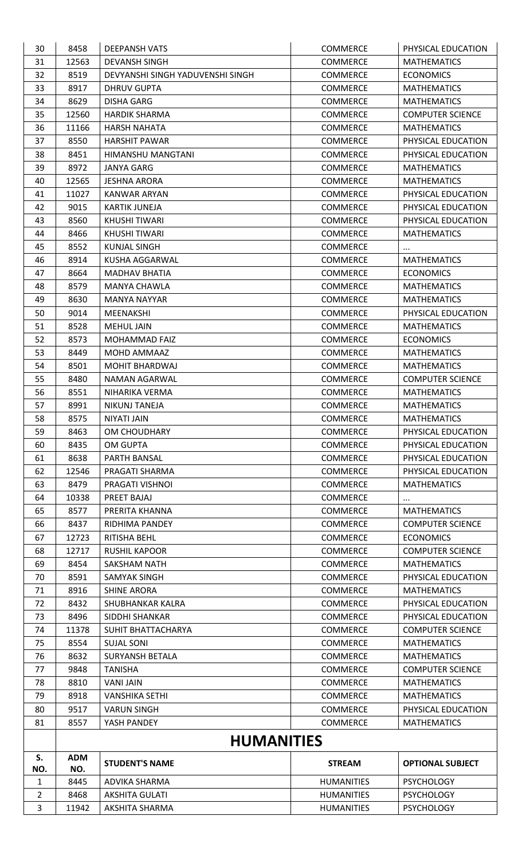| 30             | 8458              | <b>DEEPANSH VATS</b>             | COMMERCE          | PHYSICAL EDUCATION      |  |
|----------------|-------------------|----------------------------------|-------------------|-------------------------|--|
| 31             | 12563             | <b>DEVANSH SINGH</b>             | <b>COMMERCE</b>   | <b>MATHEMATICS</b>      |  |
| 32             | 8519              | DEVYANSHI SINGH YADUVENSHI SINGH | <b>COMMERCE</b>   | <b>ECONOMICS</b>        |  |
| 33             | 8917              | <b>DHRUV GUPTA</b>               | <b>COMMERCE</b>   | <b>MATHEMATICS</b>      |  |
| 34             | 8629              | <b>DISHA GARG</b>                | <b>COMMERCE</b>   | <b>MATHEMATICS</b>      |  |
| 35             | 12560             | <b>HARDIK SHARMA</b>             | <b>COMMERCE</b>   | <b>COMPUTER SCIENCE</b> |  |
| 36             | 11166             | <b>HARSH NAHATA</b>              | <b>COMMERCE</b>   | <b>MATHEMATICS</b>      |  |
| 37             | 8550              | <b>HARSHIT PAWAR</b>             | <b>COMMERCE</b>   | PHYSICAL EDUCATION      |  |
| 38             | 8451              | HIMANSHU MANGTANI                | <b>COMMERCE</b>   | PHYSICAL EDUCATION      |  |
| 39             | 8972              | <b>JANYA GARG</b>                | COMMERCE          | <b>MATHEMATICS</b>      |  |
| 40             | 12565             | <b>JESHNA ARORA</b>              | <b>COMMERCE</b>   | <b>MATHEMATICS</b>      |  |
| 41             | 11027             | KANWAR ARYAN                     | <b>COMMERCE</b>   | PHYSICAL EDUCATION      |  |
| 42             | 9015              | <b>KARTIK JUNEJA</b>             | <b>COMMERCE</b>   | PHYSICAL EDUCATION      |  |
| 43             | 8560              | <b>KHUSHI TIWARI</b>             | COMMERCE          | PHYSICAL EDUCATION      |  |
| 44             | 8466              | KHUSHI TIWARI                    | <b>COMMERCE</b>   | <b>MATHEMATICS</b>      |  |
| 45             | 8552              | <b>KUNJAL SINGH</b>              | <b>COMMERCE</b>   | $\cdots$                |  |
| 46             | 8914              | KUSHA AGGARWAL                   | <b>COMMERCE</b>   | <b>MATHEMATICS</b>      |  |
| 47             | 8664              | <b>MADHAV BHATIA</b>             | <b>COMMERCE</b>   | <b>ECONOMICS</b>        |  |
| 48             | 8579              | <b>MANYA CHAWLA</b>              | <b>COMMERCE</b>   | <b>MATHEMATICS</b>      |  |
| 49             | 8630              | <b>MANYA NAYYAR</b>              | <b>COMMERCE</b>   | <b>MATHEMATICS</b>      |  |
| 50             | 9014              | MEENAKSHI                        | COMMERCE          | PHYSICAL EDUCATION      |  |
| 51             | 8528              | MEHUL JAIN                       | <b>COMMERCE</b>   | <b>MATHEMATICS</b>      |  |
| 52             | 8573              | MOHAMMAD FAIZ                    | <b>COMMERCE</b>   | <b>ECONOMICS</b>        |  |
| 53             | 8449              | MOHD AMMAAZ                      | <b>COMMERCE</b>   | <b>MATHEMATICS</b>      |  |
| 54             | 8501              | <b>MOHIT BHARDWAJ</b>            | <b>COMMERCE</b>   | <b>MATHEMATICS</b>      |  |
| 55             | 8480              | NAMAN AGARWAL                    | COMMERCE          | <b>COMPUTER SCIENCE</b> |  |
| 56             | 8551              | NIHARIKA VERMA                   | <b>COMMERCE</b>   | <b>MATHEMATICS</b>      |  |
| 57             | 8991              | NIKUNJ TANEJA                    | <b>COMMERCE</b>   | <b>MATHEMATICS</b>      |  |
| 58             | 8575              | NIYATI JAIN                      | <b>COMMERCE</b>   | <b>MATHEMATICS</b>      |  |
| 59             | 8463              | OM CHOUDHARY                     | COMMERCE          | PHYSICAL EDUCATION      |  |
| 60             | 8435              | OM GUPTA                         | <b>COMMERCE</b>   | PHYSICAL EDUCATION      |  |
| 61             | 8638              | PARTH BANSAL                     | <b>COMMERCE</b>   | PHYSICAL EDUCATION      |  |
| 62             | 12546             | PRAGATI SHARMA                   | COMMERCE          | PHYSICAL EDUCATION      |  |
| 63             | 8479              | PRAGATI VISHNOI                  | <b>COMMERCE</b>   | <b>MATHEMATICS</b>      |  |
| 64             | 10338             | PREET BAJAJ                      | <b>COMMERCE</b>   | $\cdots$                |  |
| 65             | 8577              | PRERITA KHANNA                   | <b>COMMERCE</b>   | <b>MATHEMATICS</b>      |  |
| 66             | 8437              | RIDHIMA PANDEY                   | <b>COMMERCE</b>   | <b>COMPUTER SCIENCE</b> |  |
| 67             | 12723             | RITISHA BEHL                     | COMMERCE          | <b>ECONOMICS</b>        |  |
| 68             | 12717             | <b>RUSHIL KAPOOR</b>             | <b>COMMERCE</b>   | <b>COMPUTER SCIENCE</b> |  |
| 69             | 8454              | SAKSHAM NATH                     | <b>COMMERCE</b>   | <b>MATHEMATICS</b>      |  |
| 70             | 8591              | SAMYAK SINGH                     | <b>COMMERCE</b>   | PHYSICAL EDUCATION      |  |
| 71             | 8916              | <b>SHINE ARORA</b>               | <b>COMMERCE</b>   | <b>MATHEMATICS</b>      |  |
| 72             | 8432              | SHUBHANKAR KALRA                 | <b>COMMERCE</b>   | PHYSICAL EDUCATION      |  |
| 73             | 8496              | SIDDHI SHANKAR                   | <b>COMMERCE</b>   | PHYSICAL EDUCATION      |  |
| 74             | 11378             | SUHIT BHATTACHARYA               | COMMERCE          | <b>COMPUTER SCIENCE</b> |  |
| 75             | 8554              | <b>SUJAL SONI</b>                | <b>COMMERCE</b>   | <b>MATHEMATICS</b>      |  |
| 76             | 8632              | SURYANSH BETALA                  | <b>COMMERCE</b>   | <b>MATHEMATICS</b>      |  |
| 77             | 9848              | <b>TANISHA</b>                   | <b>COMMERCE</b>   | <b>COMPUTER SCIENCE</b> |  |
| 78             | 8810              | <b>VANI JAIN</b>                 | <b>COMMERCE</b>   | <b>MATHEMATICS</b>      |  |
| 79             | 8918              | <b>VANSHIKA SETHI</b>            | COMMERCE          | <b>MATHEMATICS</b>      |  |
| 80             | 9517              | <b>VARUN SINGH</b>               | <b>COMMERCE</b>   | PHYSICAL EDUCATION      |  |
| 81             | 8557              | YASH PANDEY                      | <b>COMMERCE</b>   | <b>MATHEMATICS</b>      |  |
|                |                   |                                  |                   |                         |  |
|                | <b>HUMANITIES</b> |                                  |                   |                         |  |
| S.<br>NO.      | <b>ADM</b><br>NO. | <b>STUDENT'S NAME</b>            | <b>STREAM</b>     | <b>OPTIONAL SUBJECT</b> |  |
| $\mathbf{1}$   | 8445              | ADVIKA SHARMA                    | <b>HUMANITIES</b> | <b>PSYCHOLOGY</b>       |  |
| $\overline{2}$ | 8468              | <b>AKSHITA GULATI</b>            | <b>HUMANITIES</b> | <b>PSYCHOLOGY</b>       |  |
| $\mathbf{R}$   | 11942             | AKSHITA SHARMA                   | <b>HUMANITIES</b> | <b>PSYCHOLOGY</b>       |  |